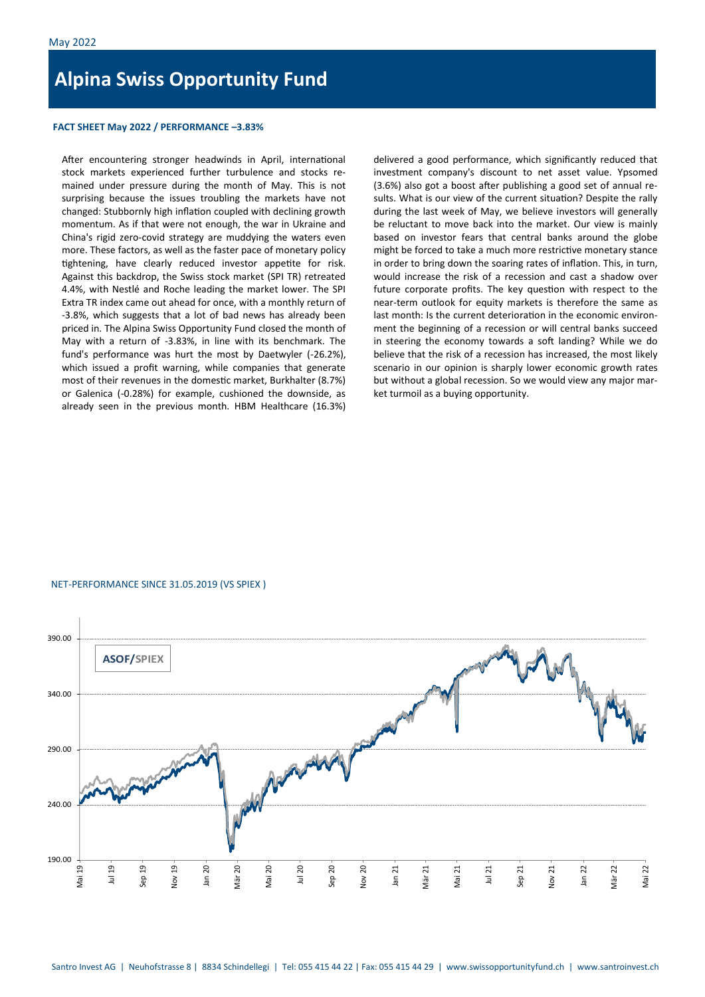# **Alpina Swiss Opportunity Fund**

## **FACT SHEET May 2022 / PERFORMANCE –3.83%**

After encountering stronger headwinds in April, international stock markets experienced further turbulence and stocks remained under pressure during the month of May. This is not surprising because the issues troubling the markets have not changed: Stubbornly high inflation coupled with declining growth momentum. As if that were not enough, the war in Ukraine and China's rigid zero-covid strategy are muddying the waters even more. These factors, as well as the faster pace of monetary policy tightening, have clearly reduced investor appetite for risk. Against this backdrop, the Swiss stock market (SPI TR) retreated 4.4%, with Nestlé and Roche leading the market lower. The SPI Extra TR index came out ahead for once, with a monthly return of -3.8%, which suggests that a lot of bad news has already been priced in. The Alpina Swiss Opportunity Fund closed the month of May with a return of -3.83%, in line with its benchmark. The fund's performance was hurt the most by Daetwyler (-26.2%), which issued a profit warning, while companies that generate most of their revenues in the domestic market, Burkhalter (8.7%) or Galenica (-0.28%) for example, cushioned the downside, as already seen in the previous month. HBM Healthcare (16.3%)

delivered a good performance, which significantly reduced that investment company's discount to net asset value. Ypsomed (3.6%) also got a boost after publishing a good set of annual results. What is our view of the current situation? Despite the rally during the last week of May, we believe investors will generally be reluctant to move back into the market. Our view is mainly based on investor fears that central banks around the globe might be forced to take a much more restrictive monetary stance in order to bring down the soaring rates of inflation. This, in turn, would increase the risk of a recession and cast a shadow over future corporate profits. The key question with respect to the near-term outlook for equity markets is therefore the same as last month: Is the current deterioration in the economic environment the beginning of a recession or will central banks succeed in steering the economy towards a soft landing? While we do believe that the risk of a recession has increased, the most likely scenario in our opinion is sharply lower economic growth rates but without a global recession. So we would view any major market turmoil as a buying opportunity.

### NET-PERFORMANCE SINCE 31.05.2019 (VS SPIEX )